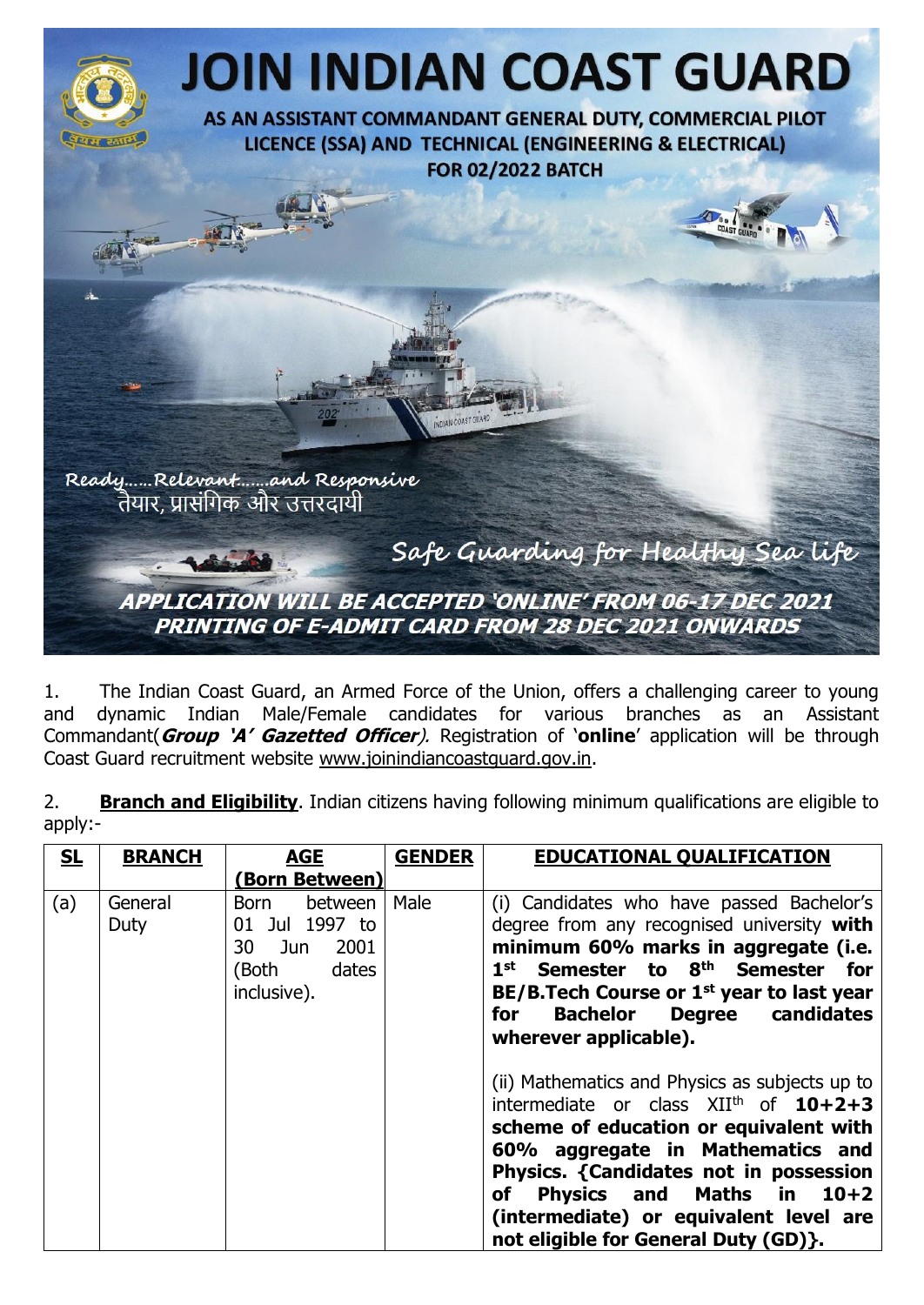

1. The Indian Coast Guard, an Armed Force of the Union, offers a challenging career to young and dynamic Indian Male/Female candidates for various branches as an Assistant Commandant(**Group 'A' Gazetted Officer**). Registration of '**online**' application will be through Coast Guard recruitment website [www.joinindiancoastguard.gov.in.](http://www.joinindiancoastguard.gov.in/)

2. **Branch and Eligibility**. Indian citizens having following minimum qualifications are eligible to apply:-

| SL  | <b>BRANCH</b>   | <b>AGE</b>                                                                           | <b>GENDER</b> | <b>EDUCATIONAL QUALIFICATION</b>                                                                                                                                                                                                                                                                                                                                                                                                                                                                                                                                                                                                                 |
|-----|-----------------|--------------------------------------------------------------------------------------|---------------|--------------------------------------------------------------------------------------------------------------------------------------------------------------------------------------------------------------------------------------------------------------------------------------------------------------------------------------------------------------------------------------------------------------------------------------------------------------------------------------------------------------------------------------------------------------------------------------------------------------------------------------------------|
|     |                 | (Born Between)                                                                       |               |                                                                                                                                                                                                                                                                                                                                                                                                                                                                                                                                                                                                                                                  |
| (a) | General<br>Duty | between<br>Born<br>01 Jul 1997 to<br>2001<br>30 Jun<br>dates<br>(Both<br>inclusive). | Male          | (i) Candidates who have passed Bachelor's<br>degree from any recognised university with<br>minimum 60% marks in aggregate (i.e.<br>1 <sup>st</sup> Semester to 8 <sup>th</sup> Semester for<br>BE/B. Tech Course or 1 <sup>st</sup> year to last year<br>Degree candidates<br><b>Bachelor</b><br>for<br>wherever applicable).<br>(ii) Mathematics and Physics as subjects up to<br>intermediate or class $XII^{th}$ of $10+2+3$<br>scheme of education or equivalent with<br>60% aggregate in Mathematics and<br>Physics. {Candidates not in possession<br><b>Physics and</b><br>Maths in $10+2$<br>of<br>(intermediate) or equivalent level are |
|     |                 |                                                                                      |               | not eligible for General Duty (GD)}.                                                                                                                                                                                                                                                                                                                                                                                                                                                                                                                                                                                                             |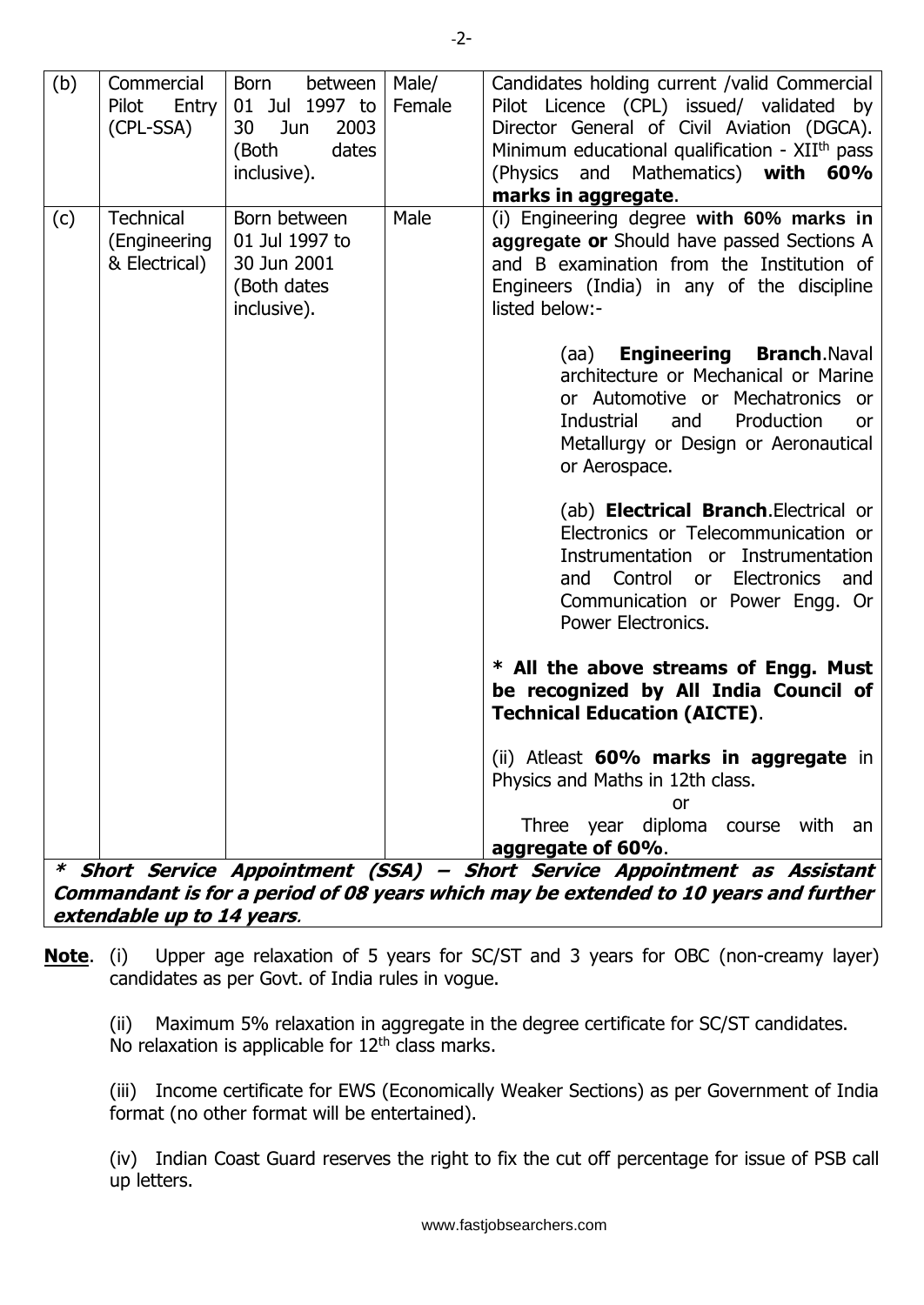| (b) | Commercial<br>Pilot<br>Entry<br>(CPL-SSA)                                                                                                                          | Born<br>between<br>01 Jul 1997 to<br>30<br>2003<br>Jun<br>(Both<br>dates<br>inclusive). | Male/<br>Female | Candidates holding current /valid Commercial<br>Pilot Licence (CPL) issued/ validated by<br>Director General of Civil Aviation (DGCA).<br>Minimum educational qualification - XII <sup>th</sup> pass<br>(Physics and Mathematics) with<br>60%<br>marks in aggregate. |  |  |  |
|-----|--------------------------------------------------------------------------------------------------------------------------------------------------------------------|-----------------------------------------------------------------------------------------|-----------------|----------------------------------------------------------------------------------------------------------------------------------------------------------------------------------------------------------------------------------------------------------------------|--|--|--|
| (c) | <b>Technical</b><br>(Engineering<br>& Electrical)                                                                                                                  | Born between<br>01 Jul 1997 to<br>30 Jun 2001<br>(Both dates<br>inclusive).             | Male            | (i) Engineering degree with 60% marks in<br>aggregate or Should have passed Sections A<br>and B examination from the Institution of<br>Engineers (India) in any of the discipline<br>listed below:-<br>(aa) <b>Engineering Branch.</b> Naval                         |  |  |  |
|     |                                                                                                                                                                    |                                                                                         |                 | architecture or Mechanical or Marine<br>or Automotive or Mechatronics or<br>Industrial<br>Production<br>and<br>or<br>Metallurgy or Design or Aeronautical<br>or Aerospace.                                                                                           |  |  |  |
|     |                                                                                                                                                                    |                                                                                         |                 | (ab) <b>Electrical Branch.</b> Electrical or<br>Electronics or Telecommunication or<br>Instrumentation or Instrumentation<br>Control or Electronics and<br>and<br>Communication or Power Engg. Or<br>Power Electronics.                                              |  |  |  |
|     |                                                                                                                                                                    |                                                                                         |                 | * All the above streams of Engg. Must<br>be recognized by All India Council of<br><b>Technical Education (AICTE).</b>                                                                                                                                                |  |  |  |
|     |                                                                                                                                                                    |                                                                                         |                 | (ii) Atleast 60% marks in aggregate in<br>Physics and Maths in 12th class.<br>or<br>Three year diploma course with an                                                                                                                                                |  |  |  |
|     |                                                                                                                                                                    |                                                                                         |                 | aggregate of 60%.                                                                                                                                                                                                                                                    |  |  |  |
|     | * Short Service Appointment (SSA) – Short Service Appointment as Assistant<br>Commandant is for a period of 08 years which may be extended to 10 years and further |                                                                                         |                 |                                                                                                                                                                                                                                                                      |  |  |  |
|     | extendable up to 14 years.                                                                                                                                         |                                                                                         |                 |                                                                                                                                                                                                                                                                      |  |  |  |

**Note**. (i) Upper age relaxation of 5 years for SC/ST and 3 years for OBC (non-creamy layer) candidates as per Govt. of India rules in vogue.

(ii) Maximum 5% relaxation in aggregate in the degree certificate for SC/ST candidates. No relaxation is applicable for  $12<sup>th</sup>$  class marks.

(iii) Income certificate for EWS (Economically Weaker Sections) as per Government of India format (no other format will be entertained).

(iv) Indian Coast Guard reserves the right to fix the cut off percentage for issue of PSB call up letters.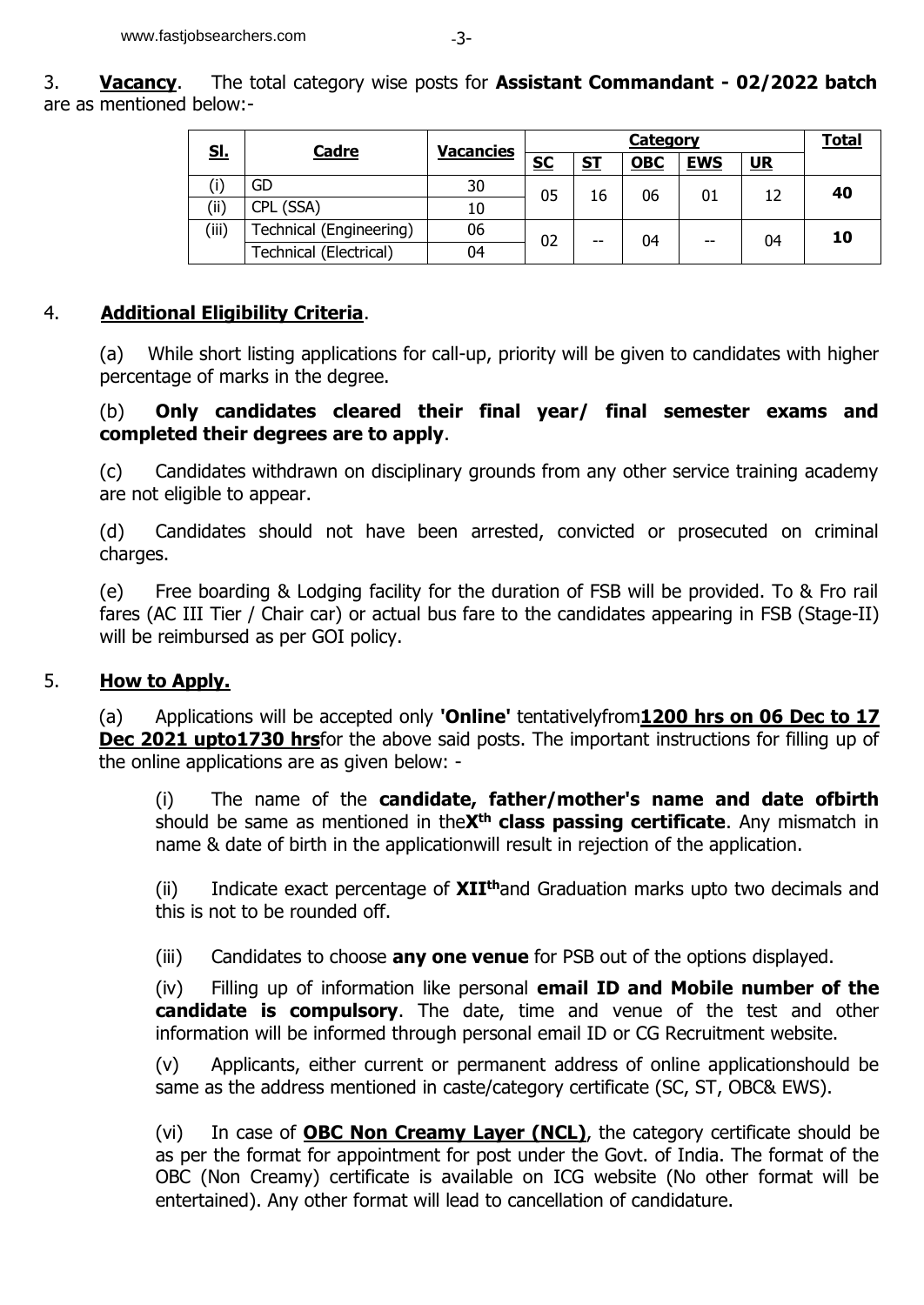| <u>sl.</u> | <b>Cadre</b>            | <b>Vacancies</b> | <b>Category</b> |           |            |            | <b>Total</b> |    |
|------------|-------------------------|------------------|-----------------|-----------|------------|------------|--------------|----|
|            |                         |                  | <u>SC</u>       | <u>ST</u> | <b>OBC</b> | <b>EWS</b> | <u>UR</u>    |    |
|            | GD                      | 30               | 05              | 16        | 06         | 01         | 12           | 40 |
| (ii)       | CPL (SSA)               | 10               |                 |           |            |            |              |    |
| (iii)      | Technical (Engineering) | 06               | 02              | --        | 04         | $- -$      | 04           | 10 |
|            | Technical (Electrical)  | 04               |                 |           |            |            |              |    |

### 4. **Additional Eligibility Criteria**.

(a) While short listing applications for call-up, priority will be given to candidates with higher percentage of marks in the degree.

### (b) **Only candidates cleared their final year/ final semester exams and completed their degrees are to apply**.

(c) Candidates withdrawn on disciplinary grounds from any other service training academy are not eligible to appear.

(d) Candidates should not have been arrested, convicted or prosecuted on criminal charges.

(e) Free boarding & Lodging facility for the duration of FSB will be provided. To & Fro rail fares (AC III Tier / Chair car) or actual bus fare to the candidates appearing in FSB (Stage-II) will be reimbursed as per GOI policy.

### 5. **How to Apply.**

(a) Applications will be accepted only **'Online'** tentativelyfrom**1200 hrs on 06 Dec to 17 Dec 2021 upto1730 hrs**for the above said posts. The important instructions for filling up of the online applications are as given below: -

(i) The name of the **candidate, father/mother's name and date ofbirth** should be same as mentioned in the**Xth class passing certificate**. Any mismatch in name & date of birth in the applicationwill result in rejection of the application.

(ii) Indicate exact percentage of **XIIth**and Graduation marks upto two decimals and this is not to be rounded off.

(iii) Candidates to choose **any one venue** for PSB out of the options displayed.

(iv) Filling up of information like personal **email ID and Mobile number of the candidate is compulsory**. The date, time and venue of the test and other information will be informed through personal email ID or CG Recruitment website.

(v) Applicants, either current or permanent address of online applicationshould be same as the address mentioned in caste/category certificate (SC, ST, OBC& EWS).

(vi) In case of **OBC Non Creamy Layer (NCL)**, the category certificate should be as per the format for appointment for post under the Govt. of India. The format of the OBC (Non Creamy) certificate is available on ICG website (No other format will be entertained). Any other format will lead to cancellation of candidature.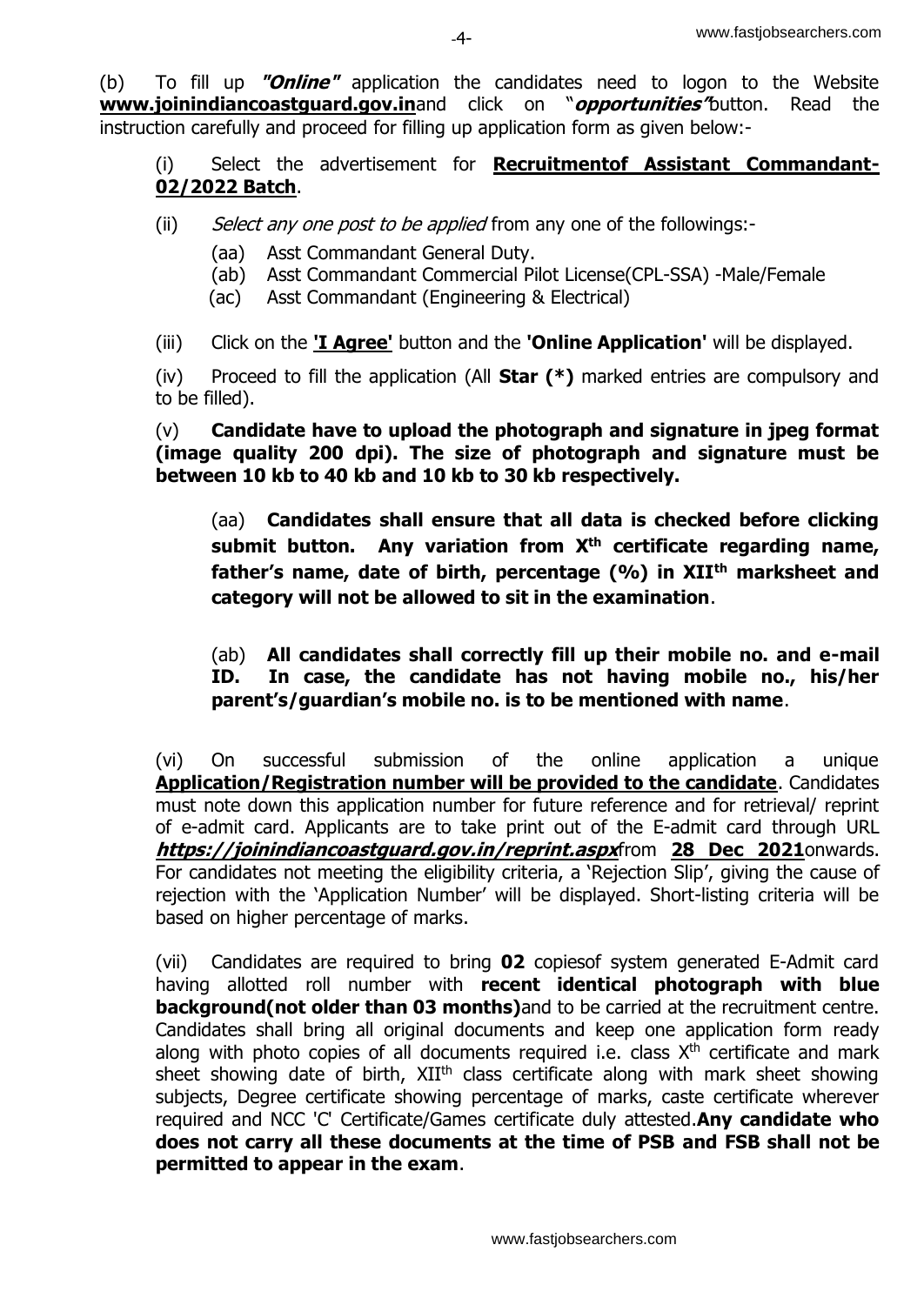(b) To fill up **"Online"** application the candidates need to logon to the Website **[www.joinindiancoastguard.gov.in](http://www.joinindiancoastguard.gov.in/)**and click on "**opportunities"**button. Read the instruction carefully and proceed for filling up application form as given below:-

(i) Select the advertisement for **Recruitmentof Assistant Commandant-02/2022 Batch**.

- (ii) Select any one post to be applied from any one of the followings:-
	- (aa) Asst Commandant General Duty.
	- (ab) Asst Commandant Commercial Pilot License(CPL-SSA) -Male/Female
	- (ac) Asst Commandant (Engineering & Electrical)
- (iii) Click on the **'I Agree'** button and the **'Online Application'** will be displayed.

(iv) Proceed to fill the application (All **Star (\*)** marked entries are compulsory and to be filled).

(v) **Candidate have to upload the photograph and signature in jpeg format (image quality 200 dpi). The size of photograph and signature must be between 10 kb to 40 kb and 10 kb to 30 kb respectively.**

(aa) **Candidates shall ensure that all data is checked before clicking submit button. Any variation from Xth certificate regarding name, father's name, date of birth, percentage (%) in XIIth marksheet and category will not be allowed to sit in the examination**.

(ab) **All candidates shall correctly fill up their mobile no. and e-mail ID. In case, the candidate has not having mobile no., his/her parent's/guardian's mobile no. is to be mentioned with name**.

(vi) On successful submission of the online application a unique **Application/Registration number will be provided to the candidate**. Candidates must note down this application number for future reference and for retrieval/ reprint of e-admit card. Applicants are to take print out of the E-admit card through URL **<https://joinindiancoastguard.gov.in/reprint.aspx>**from **28 Dec 2021**onwards. For candidates not meeting the eligibility criteria, a 'Rejection Slip', giving the cause of rejection with the 'Application Number' will be displayed. Short-listing criteria will be based on higher percentage of marks.

(vii) Candidates are required to bring **02** copiesof system generated E-Admit card having allotted roll number with **recent identical photograph with blue background(not older than 03 months)**and to be carried at the recruitment centre. Candidates shall bring all original documents and keep one application form ready along with photo copies of all documents required i.e. class  $X<sup>th</sup>$  certificate and mark sheet showing date of birth,  $XII<sup>th</sup>$  class certificate along with mark sheet showing subjects, Degree certificate showing percentage of marks, caste certificate wherever required and NCC 'C' Certificate/Games certificate duly attested.**Any candidate who does not carry all these documents at the time of PSB and FSB shall not be permitted to appear in the exam**.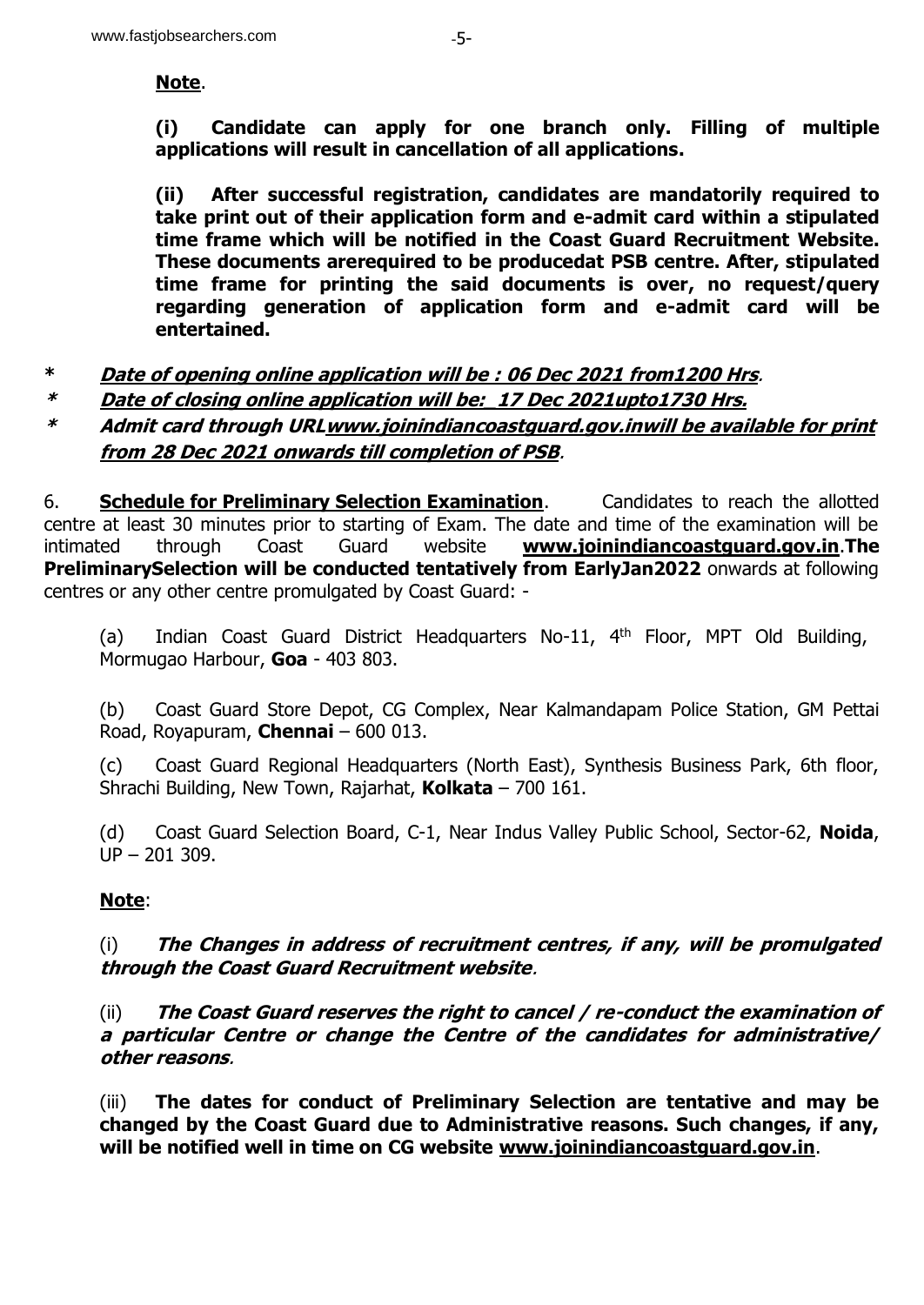#### **Note**.

**(i) Candidate can apply for one branch only. Filling of multiple applications will result in cancellation of all applications.**

**(ii) After successful registration, candidates are mandatorily required to take print out of their application form and e-admit card within a stipulated time frame which will be notified in the Coast Guard Recruitment Website. These documents arerequired to be producedat PSB centre. After, stipulated time frame for printing the said documents is over, no request/query regarding generation of application form and e-admit card will be entertained.** 

- **\* Date of opening online application will be : 06 Dec 2021 from1200 Hrs**.
- **\* Date of closing online application will be:\_17 Dec 2021upto1730 Hrs.**
- **\* Admit card through UR[Lwww.joinindiancoastguard.gov.inw](http://www.joinindiancoastguard.gov.in/)ill be available for print from 28 Dec 2021 onwards till completion of PSB**.

6. **Schedule for Preliminary Selection Examination**. Candidates to reach the allotted centre at least 30 minutes prior to starting of Exam. The date and time of the examination will be intimated through Coast Guard website **[www.joinindiancoastguard.gov.in](http://www.joinindiancoastguard.gov.in/)**.**The PreliminarySelection will be conducted tentatively from EarlyJan2022** onwards at following centres or any other centre promulgated by Coast Guard: -

(a) Indian Coast Guard District Headquarters No-11, 4th Floor, MPT Old Building, Mormugao Harbour, **Goa** - 403 803.

(b) Coast Guard Store Depot, CG Complex, Near Kalmandapam Police Station, GM Pettai Road, Royapuram, **Chennai** – 600 013.

(c) Coast Guard Regional Headquarters (North East), Synthesis Business Park, 6th floor, Shrachi Building, New Town, Rajarhat, **Kolkata** – 700 161.

(d) Coast Guard Selection Board, C-1, Near Indus Valley Public School, Sector-62, **Noida**, UP – 201 309.

# **Note**:

(i) **The Changes in address of recruitment centres, if any, will be promulgated through the Coast Guard Recruitment website**.

(ii) **The Coast Guard reserves the right to cancel / re-conduct the examination of a particular Centre or change the Centre of the candidates for administrative/ other reasons**.

(iii) **The dates for conduct of Preliminary Selection are tentative and may be changed by the Coast Guard due to Administrative reasons. Such changes, if any, will be notified well in time on CG website [www.joinindiancoastguard.gov.in](http://www.joinindiancoastguard.gov.in/)**.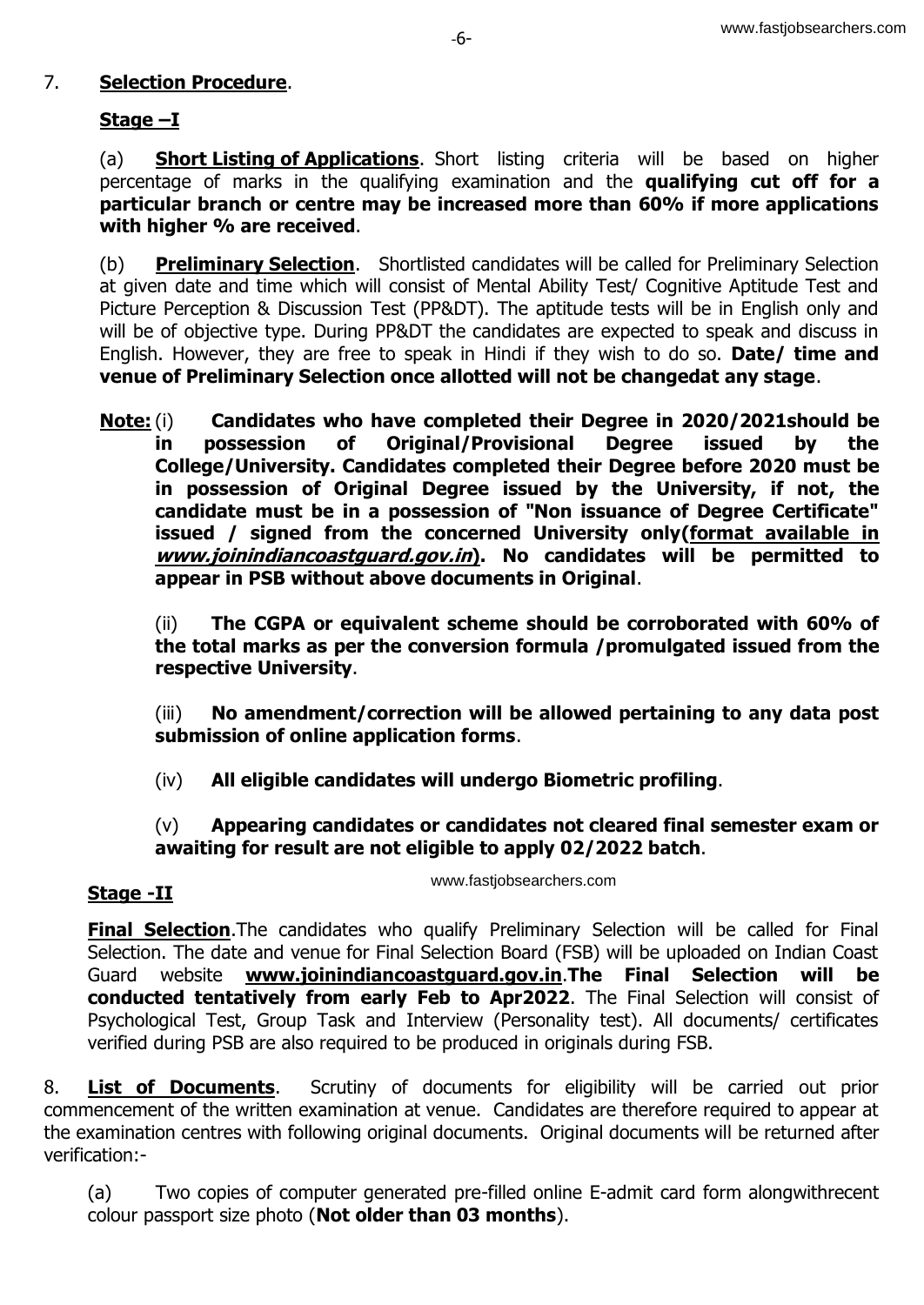### 7. **Selection Procedure**.

## **Stage –I**

(a) **Short Listing of Applications**. Short listing criteria will be based on higher percentage of marks in the qualifying examination and the **qualifying cut off for a particular branch or centre may be increased more than 60% if more applications with higher % are received**.

(b) **Preliminary Selection**. Shortlisted candidates will be called for Preliminary Selection at given date and time which will consist of Mental Ability Test/ Cognitive Aptitude Test and Picture Perception & Discussion Test (PP&DT). The aptitude tests will be in English only and will be of objective type. During PP&DT the candidates are expected to speak and discuss in English. However, they are free to speak in Hindi if they wish to do so. **Date/ time and venue of Preliminary Selection once allotted will not be changedat any stage**.

**Note:** (i) **Candidates who have completed their Degree in 2020/2021should be in possession of Original/Provisional Degree issued by the College/University. Candidates completed their Degree before 2020 must be in possession of Original Degree issued by the University, if not, the candidate must be in a possession of "Non issuance of Degree Certificate" issued / signed from the concerned University only(format available in www.joinindiancoastguard.gov.in). No candidates will be permitted to appear in PSB without above documents in Original**.

(ii) **The CGPA or equivalent scheme should be corroborated with 60% of the total marks as per the conversion formula /promulgated issued from the respective University**.

(iii) **No amendment/correction will be allowed pertaining to any data post submission of online application forms**.

(iv) **All eligible candidates will undergo Biometric profiling**.

### (v) **Appearing candidates or candidates not cleared final semester exam or awaiting for result are not eligible to apply 02/2022 batch**.

### **Stage -II**

www.fastjobsearchers.com

**Final Selection**. The candidates who qualify Preliminary Selection will be called for Final Selection. The date and venue for Final Selection Board (FSB) will be uploaded on Indian Coast Guard website **[www.joinindiancoastguard.gov.in](http://www.joinindiancoastguard.gov.in/)**.**The Final Selection will be conducted tentatively from early Feb to Apr2022**. The Final Selection will consist of Psychological Test, Group Task and Interview (Personality test). All documents/ certificates verified during PSB are also required to be produced in originals during FSB.

8. **List of Documents**. Scrutiny of documents for eligibility will be carried out prior commencement of the written examination at venue. Candidates are therefore required to appear at the examination centres with following original documents. Original documents will be returned after verification:-

(a) Two copies of computer generated pre-filled online E-admit card form alongwithrecent colour passport size photo (**Not older than 03 months**).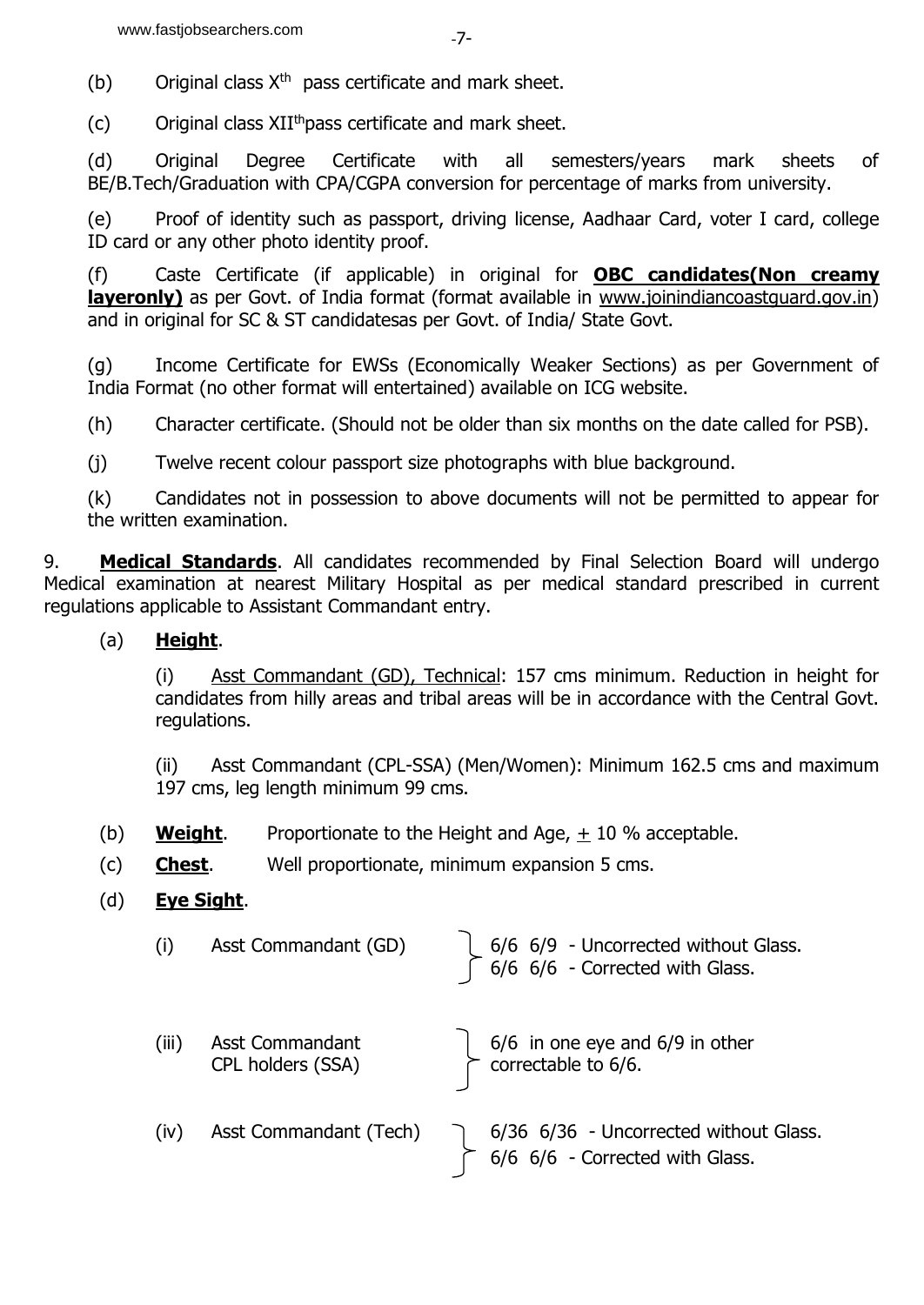(b) Original class  $X^{th}$  pass certificate and mark sheet.

(c) Original class  $XII^{th}$  pass certificate and mark sheet.

(d) Original Degree Certificate with all semesters/years mark sheets of BE/B.Tech/Graduation with CPA/CGPA conversion for percentage of marks from university.

(e) Proof of identity such as passport, driving license, Aadhaar Card, voter I card, college ID card or any other photo identity proof.

(f) Caste Certificate (if applicable) in original for **OBC candidates(Non creamy layeronly**) as per Govt. of India format (format available in [www.joinindiancoastguard.gov.in\)](http://www.joinindiancoastguard.gov.in/) and in original for SC & ST candidatesas per Govt. of India/ State Govt.

(g) Income Certificate for EWSs (Economically Weaker Sections) as per Government of India Format (no other format will entertained) available on ICG website.

(h) Character certificate. (Should not be older than six months on the date called for PSB).

(j) Twelve recent colour passport size photographs with blue background.

(k) Candidates not in possession to above documents will not be permitted to appear for the written examination.

9. **Medical Standards**. All candidates recommended by Final Selection Board will undergo Medical examination at nearest Military Hospital as per medical standard prescribed in current regulations applicable to Assistant Commandant entry.

## (a) **Height**.

(i) Asst Commandant (GD), Technical: 157 cms minimum. Reduction in height for candidates from hilly areas and tribal areas will be in accordance with the Central Govt. regulations.

(ii) Asst Commandant (CPL-SSA) (Men/Women): Minimum 162.5 cms and maximum 197 cms, leg length minimum 99 cms.

- (b) **Weight**. Proportionate to the Height and Age,  $\pm$  10 % acceptable.
- (c) **Chest**. Well proportionate, minimum expansion 5 cms.

# (d) **Eye Sight**.

| (i)   | Asst Commandant (GD)                 | $\begin{bmatrix} 6/6 & 6/9 & -$ Uncorrected without Glass.<br>$\begin{bmatrix} 6/6 & 6/6 & - \end{bmatrix}$ Corrected with Glass. |
|-------|--------------------------------------|-----------------------------------------------------------------------------------------------------------------------------------|
| (iii) | Asst Commandant<br>CPL holders (SSA) | $\begin{bmatrix} 6/6 & \text{in one eye and } 6/9 & \text{in other} \\ \text{correctable to } 6/6. & \end{bmatrix}$               |
| (iv)  | Asst Commandant (Tech)               | 6/36 6/36 - Uncorrected without Glass.<br>6/6 6/6 - Corrected with Glass.                                                         |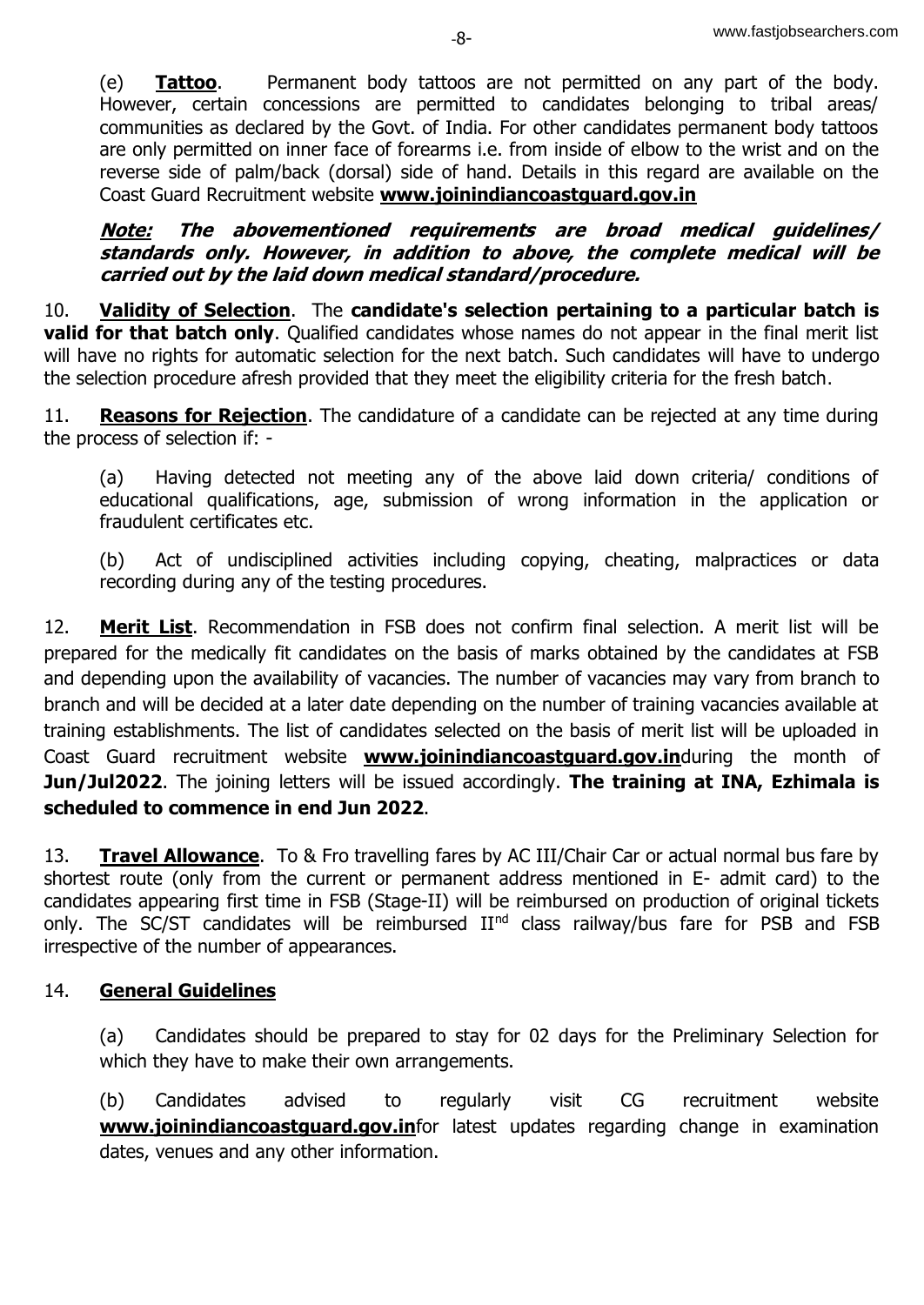(e) **Tattoo**. Permanent body tattoos are not permitted on any part of the body. However, certain concessions are permitted to candidates belonging to tribal areas/ communities as declared by the Govt. of India. For other candidates permanent body tattoos are only permitted on inner face of forearms i.e. from inside of elbow to the wrist and on the reverse side of palm/back (dorsal) side of hand. Details in this regard are available on the Coast Guard Recruitment website **[www.joinindiancoastguard.gov.in](http://www.joinindiancoastguard.gov.in/)**

**Note: The abovementioned requirements are broad medical guidelines/ standards only. However, in addition to above, the complete medical will be carried out by the laid down medical standard/procedure.**

10. **Validity of Selection**. The **candidate's selection pertaining to a particular batch is valid for that batch only.** Qualified candidates whose names do not appear in the final merit list will have no rights for automatic selection for the next batch. Such candidates will have to undergo the selection procedure afresh provided that they meet the eligibility criteria for the fresh batch.

11. **Reasons for Rejection**. The candidature of a candidate can be rejected at any time during the process of selection if: -

(a) Having detected not meeting any of the above laid down criteria/ conditions of educational qualifications, age, submission of wrong information in the application or fraudulent certificates etc.

(b) Act of undisciplined activities including copying, cheating, malpractices or data recording during any of the testing procedures.

12. **Merit List**. Recommendation in FSB does not confirm final selection. A merit list will be prepared for the medically fit candidates on the basis of marks obtained by the candidates at FSB and depending upon the availability of vacancies. The number of vacancies may vary from branch to branch and will be decided at a later date depending on the number of training vacancies available at training establishments. The list of candidates selected on the basis of merit list will be uploaded in Coast Guard recruitment website **[www.joinindiancoastguard.gov.in](http://www.joinindiancoastguard.gov.in/)**during the month of **Jun/Jul2022**. The joining letters will be issued accordingly. **The training at INA, Ezhimala is scheduled to commence in end Jun 2022**.

13. **Travel Allowance**. To & Fro travelling fares by AC III/Chair Car or actual normal bus fare by shortest route (only from the current or permanent address mentioned in E- admit card) to the candidates appearing first time in FSB (Stage-II) will be reimbursed on production of original tickets only. The SC/ST candidates will be reimbursed II<sup>nd</sup> class railway/bus fare for PSB and FSB irrespective of the number of appearances.

# 14. **General Guidelines**

(a) Candidates should be prepared to stay for 02 days for the Preliminary Selection for which they have to make their own arrangements.

(b) Candidates advised to regularly visit CG recruitment website **[www.joinindiancoastguard.gov.in](http://www.joinindiancoastguard.gov.in/)**for latest updates regarding change in examination dates, venues and any other information.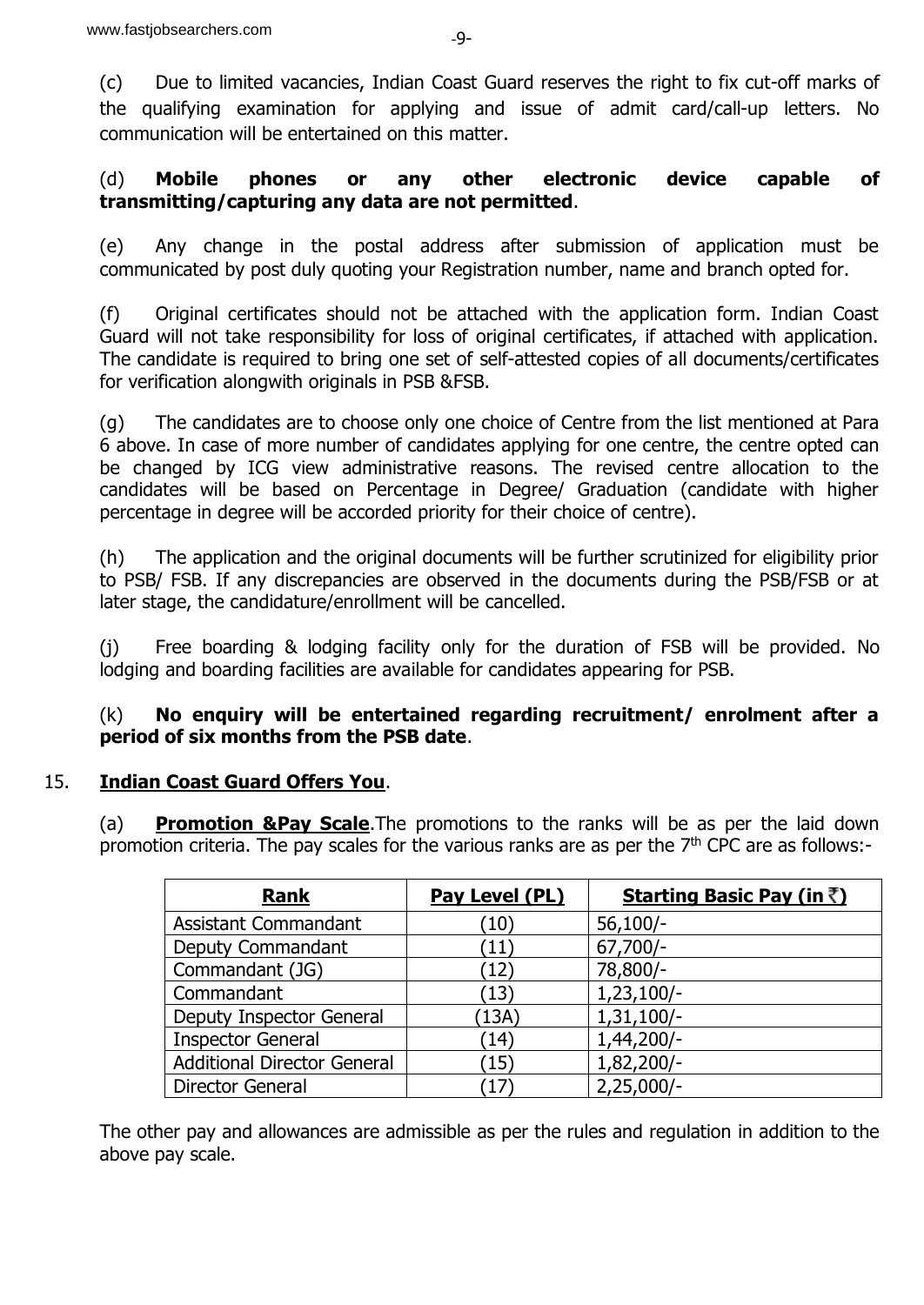(c) Due to limited vacancies, Indian Coast Guard reserves the right to fix cut-off marks of the qualifying examination for applying and issue of admit card/call-up letters. No communication will be entertained on this matter.

#### (d) **Mobile phones or any other electronic device capable of transmitting/capturing any data are not permitted**.

(e) Any change in the postal address after submission of application must be communicated by post duly quoting your Registration number, name and branch opted for.

(f) Original certificates should not be attached with the application form. Indian Coast Guard will not take responsibility for loss of original certificates, if attached with application. The candidate is required to bring one set of self-attested copies of all documents/certificates for verification alongwith originals in PSB &FSB.

(g) The candidates are to choose only one choice of Centre from the list mentioned at Para 6 above. In case of more number of candidates applying for one centre, the centre opted can be changed by ICG view administrative reasons. The revised centre allocation to the candidates will be based on Percentage in Degree/ Graduation (candidate with higher percentage in degree will be accorded priority for their choice of centre).

(h) The application and the original documents will be further scrutinized for eligibility prior to PSB/ FSB. If any discrepancies are observed in the documents during the PSB/FSB or at later stage, the candidature/enrollment will be cancelled.

(j) Free boarding & lodging facility only for the duration of FSB will be provided. No lodging and boarding facilities are available for candidates appearing for PSB.

### (k) **No enquiry will be entertained regarding recruitment/ enrolment after a period of six months from the PSB date**.

### 15. **Indian Coast Guard Offers You**.

(a) **Promotion &Pay Scale**.The promotions to the ranks will be as per the laid down promotion criteria. The pay scales for the various ranks are as per the  $7<sup>th</sup>$  CPC are as follows:-

| <b>Rank</b>                        | Pay Level (PL) | <b>Starting Basic Pay (in ₹)</b> |
|------------------------------------|----------------|----------------------------------|
| <b>Assistant Commandant</b>        | (10)           | $56,100/-$                       |
| Deputy Commandant                  | (11)           | $67,700/-$                       |
| Commandant (JG)                    | (12)           | 78,800/-                         |
| Commandant                         | (13)           | $1,23,100/-$                     |
| Deputy Inspector General           | (13A)          | $1,31,100/-$                     |
| <b>Inspector General</b>           | (14)           | 1,44,200/-                       |
| <b>Additional Director General</b> | (15)           | 1,82,200/-                       |
| Director General                   | (17            | $2,25,000/-$                     |

The other pay and allowances are admissible as per the rules and regulation in addition to the above pay scale.